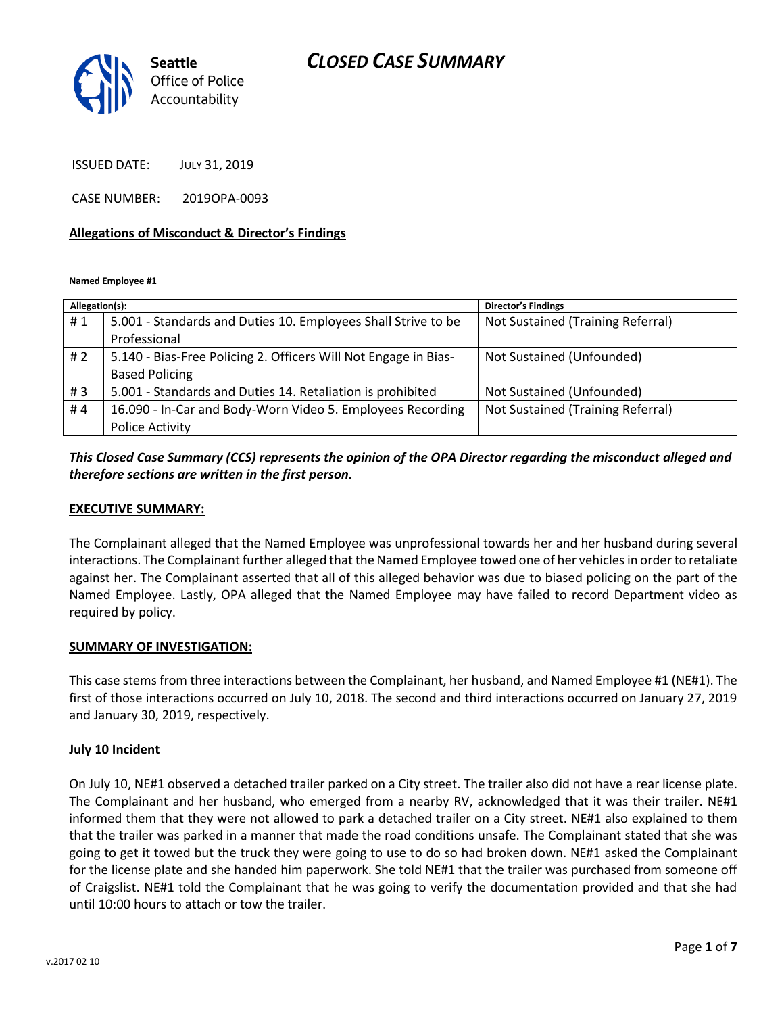

ISSUED DATE: JULY 31, 2019

CASE NUMBER: 2019OPA-0093

#### **Allegations of Misconduct & Director's Findings**

**Named Employee #1**

| Allegation(s): |                                                                 | Director's Findings               |
|----------------|-----------------------------------------------------------------|-----------------------------------|
| #1             | 5.001 - Standards and Duties 10. Employees Shall Strive to be   | Not Sustained (Training Referral) |
|                | Professional                                                    |                                   |
| #2             | 5.140 - Bias-Free Policing 2. Officers Will Not Engage in Bias- | Not Sustained (Unfounded)         |
|                | <b>Based Policing</b>                                           |                                   |
| #3             | 5.001 - Standards and Duties 14. Retaliation is prohibited      | Not Sustained (Unfounded)         |
| #4             | 16.090 - In-Car and Body-Worn Video 5. Employees Recording      | Not Sustained (Training Referral) |
|                | <b>Police Activity</b>                                          |                                   |

### *This Closed Case Summary (CCS) represents the opinion of the OPA Director regarding the misconduct alleged and therefore sections are written in the first person.*

#### **EXECUTIVE SUMMARY:**

The Complainant alleged that the Named Employee was unprofessional towards her and her husband during several interactions. The Complainant further alleged that the Named Employee towed one of her vehicles in order to retaliate against her. The Complainant asserted that all of this alleged behavior was due to biased policing on the part of the Named Employee. Lastly, OPA alleged that the Named Employee may have failed to record Department video as required by policy.

#### **SUMMARY OF INVESTIGATION:**

This case stems from three interactions between the Complainant, her husband, and Named Employee #1 (NE#1). The first of those interactions occurred on July 10, 2018. The second and third interactions occurred on January 27, 2019 and January 30, 2019, respectively.

#### **July 10 Incident**

On July 10, NE#1 observed a detached trailer parked on a City street. The trailer also did not have a rear license plate. The Complainant and her husband, who emerged from a nearby RV, acknowledged that it was their trailer. NE#1 informed them that they were not allowed to park a detached trailer on a City street. NE#1 also explained to them that the trailer was parked in a manner that made the road conditions unsafe. The Complainant stated that she was going to get it towed but the truck they were going to use to do so had broken down. NE#1 asked the Complainant for the license plate and she handed him paperwork. She told NE#1 that the trailer was purchased from someone off of Craigslist. NE#1 told the Complainant that he was going to verify the documentation provided and that she had until 10:00 hours to attach or tow the trailer.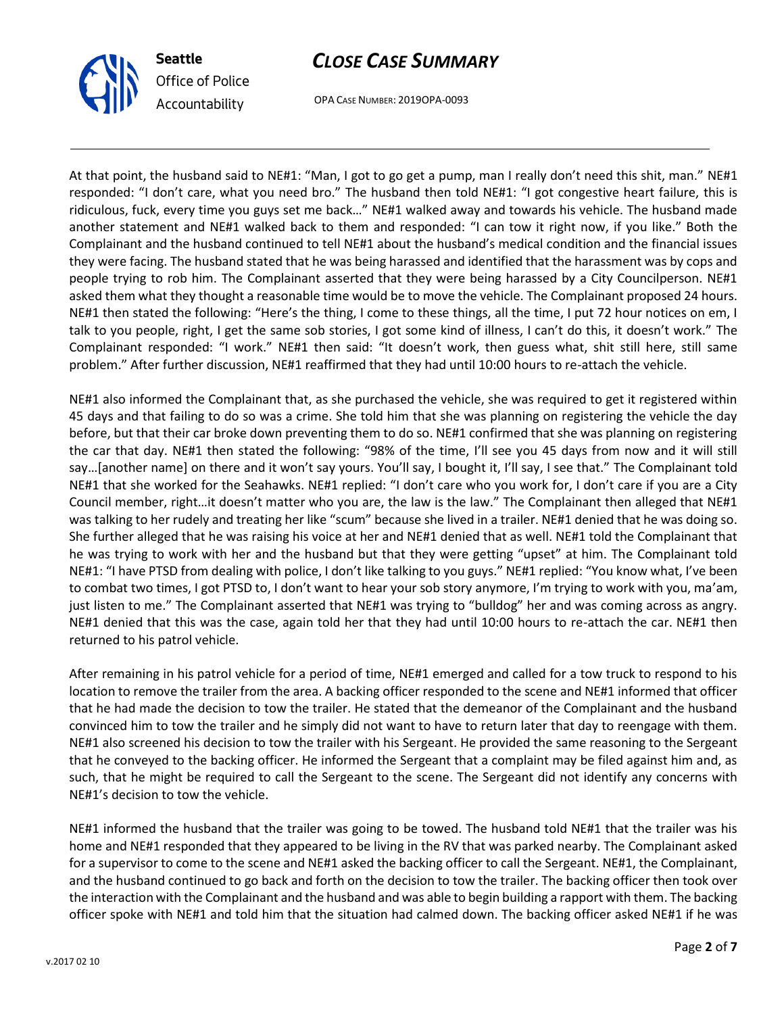

OPA CASE NUMBER: 2019OPA-0093

At that point, the husband said to NE#1: "Man, I got to go get a pump, man I really don't need this shit, man." NE#1 responded: "I don't care, what you need bro." The husband then told NE#1: "I got congestive heart failure, this is ridiculous, fuck, every time you guys set me back…" NE#1 walked away and towards his vehicle. The husband made another statement and NE#1 walked back to them and responded: "I can tow it right now, if you like." Both the Complainant and the husband continued to tell NE#1 about the husband's medical condition and the financial issues they were facing. The husband stated that he was being harassed and identified that the harassment was by cops and people trying to rob him. The Complainant asserted that they were being harassed by a City Councilperson. NE#1 asked them what they thought a reasonable time would be to move the vehicle. The Complainant proposed 24 hours. NE#1 then stated the following: "Here's the thing, I come to these things, all the time, I put 72 hour notices on em, I talk to you people, right, I get the same sob stories, I got some kind of illness, I can't do this, it doesn't work." The Complainant responded: "I work." NE#1 then said: "It doesn't work, then guess what, shit still here, still same problem." After further discussion, NE#1 reaffirmed that they had until 10:00 hours to re-attach the vehicle.

NE#1 also informed the Complainant that, as she purchased the vehicle, she was required to get it registered within 45 days and that failing to do so was a crime. She told him that she was planning on registering the vehicle the day before, but that their car broke down preventing them to do so. NE#1 confirmed that she was planning on registering the car that day. NE#1 then stated the following: "98% of the time, I'll see you 45 days from now and it will still say…[another name] on there and it won't say yours. You'll say, I bought it, I'll say, I see that." The Complainant told NE#1 that she worked for the Seahawks. NE#1 replied: "I don't care who you work for, I don't care if you are a City Council member, right…it doesn't matter who you are, the law is the law." The Complainant then alleged that NE#1 was talking to her rudely and treating her like "scum" because she lived in a trailer. NE#1 denied that he was doing so. She further alleged that he was raising his voice at her and NE#1 denied that as well. NE#1 told the Complainant that he was trying to work with her and the husband but that they were getting "upset" at him. The Complainant told NE#1: "I have PTSD from dealing with police, I don't like talking to you guys." NE#1 replied: "You know what, I've been to combat two times, I got PTSD to, I don't want to hear your sob story anymore, I'm trying to work with you, ma'am, just listen to me." The Complainant asserted that NE#1 was trying to "bulldog" her and was coming across as angry. NE#1 denied that this was the case, again told her that they had until 10:00 hours to re-attach the car. NE#1 then returned to his patrol vehicle.

After remaining in his patrol vehicle for a period of time, NE#1 emerged and called for a tow truck to respond to his location to remove the trailer from the area. A backing officer responded to the scene and NE#1 informed that officer that he had made the decision to tow the trailer. He stated that the demeanor of the Complainant and the husband convinced him to tow the trailer and he simply did not want to have to return later that day to reengage with them. NE#1 also screened his decision to tow the trailer with his Sergeant. He provided the same reasoning to the Sergeant that he conveyed to the backing officer. He informed the Sergeant that a complaint may be filed against him and, as such, that he might be required to call the Sergeant to the scene. The Sergeant did not identify any concerns with NE#1's decision to tow the vehicle.

NE#1 informed the husband that the trailer was going to be towed. The husband told NE#1 that the trailer was his home and NE#1 responded that they appeared to be living in the RV that was parked nearby. The Complainant asked for a supervisor to come to the scene and NE#1 asked the backing officer to call the Sergeant. NE#1, the Complainant, and the husband continued to go back and forth on the decision to tow the trailer. The backing officer then took over the interaction with the Complainant and the husband and was able to begin building a rapport with them. The backing officer spoke with NE#1 and told him that the situation had calmed down. The backing officer asked NE#1 if he was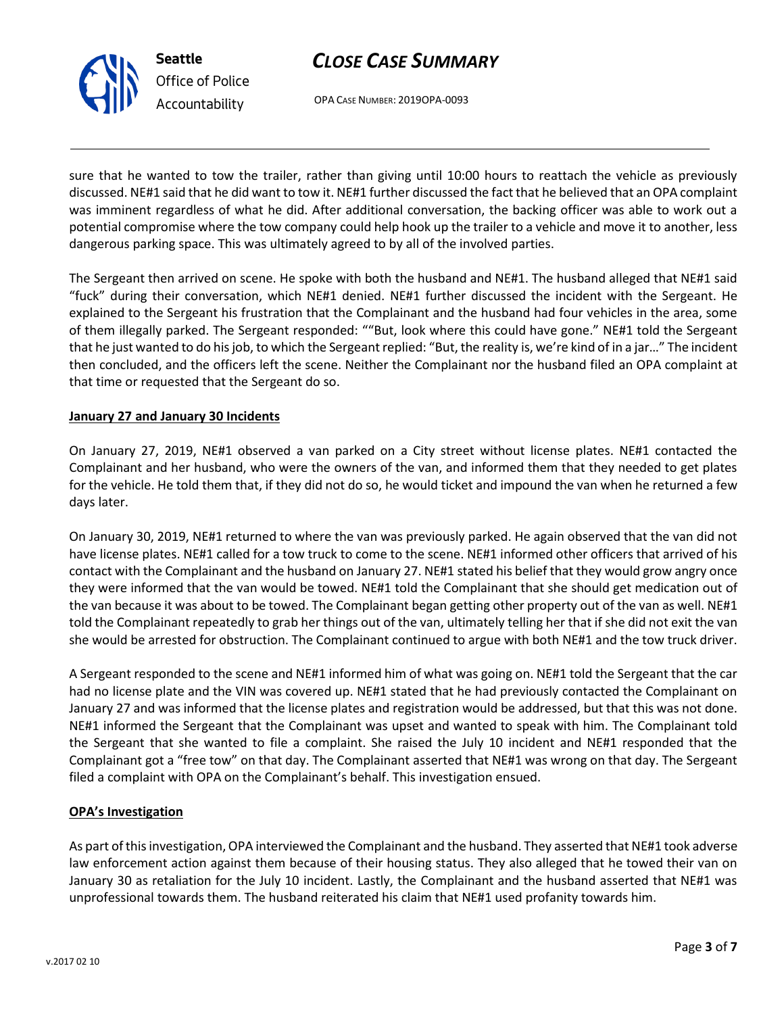

OPA CASE NUMBER: 2019OPA-0093

sure that he wanted to tow the trailer, rather than giving until 10:00 hours to reattach the vehicle as previously discussed. NE#1 said that he did want to tow it. NE#1 further discussed the fact that he believed that an OPA complaint was imminent regardless of what he did. After additional conversation, the backing officer was able to work out a potential compromise where the tow company could help hook up the trailer to a vehicle and move it to another, less dangerous parking space. This was ultimately agreed to by all of the involved parties.

The Sergeant then arrived on scene. He spoke with both the husband and NE#1. The husband alleged that NE#1 said "fuck" during their conversation, which NE#1 denied. NE#1 further discussed the incident with the Sergeant. He explained to the Sergeant his frustration that the Complainant and the husband had four vehicles in the area, some of them illegally parked. The Sergeant responded: ""But, look where this could have gone." NE#1 told the Sergeant that he just wanted to do his job, to which the Sergeant replied: "But, the reality is, we're kind of in a jar…" The incident then concluded, and the officers left the scene. Neither the Complainant nor the husband filed an OPA complaint at that time or requested that the Sergeant do so.

### **January 27 and January 30 Incidents**

On January 27, 2019, NE#1 observed a van parked on a City street without license plates. NE#1 contacted the Complainant and her husband, who were the owners of the van, and informed them that they needed to get plates for the vehicle. He told them that, if they did not do so, he would ticket and impound the van when he returned a few days later.

On January 30, 2019, NE#1 returned to where the van was previously parked. He again observed that the van did not have license plates. NE#1 called for a tow truck to come to the scene. NE#1 informed other officers that arrived of his contact with the Complainant and the husband on January 27. NE#1 stated his belief that they would grow angry once they were informed that the van would be towed. NE#1 told the Complainant that she should get medication out of the van because it was about to be towed. The Complainant began getting other property out of the van as well. NE#1 told the Complainant repeatedly to grab her things out of the van, ultimately telling her that if she did not exit the van she would be arrested for obstruction. The Complainant continued to argue with both NE#1 and the tow truck driver.

A Sergeant responded to the scene and NE#1 informed him of what was going on. NE#1 told the Sergeant that the car had no license plate and the VIN was covered up. NE#1 stated that he had previously contacted the Complainant on January 27 and was informed that the license plates and registration would be addressed, but that this was not done. NE#1 informed the Sergeant that the Complainant was upset and wanted to speak with him. The Complainant told the Sergeant that she wanted to file a complaint. She raised the July 10 incident and NE#1 responded that the Complainant got a "free tow" on that day. The Complainant asserted that NE#1 was wrong on that day. The Sergeant filed a complaint with OPA on the Complainant's behalf. This investigation ensued.

#### **OPA's Investigation**

As part of this investigation, OPA interviewed the Complainant and the husband. They asserted that NE#1 took adverse law enforcement action against them because of their housing status. They also alleged that he towed their van on January 30 as retaliation for the July 10 incident. Lastly, the Complainant and the husband asserted that NE#1 was unprofessional towards them. The husband reiterated his claim that NE#1 used profanity towards him.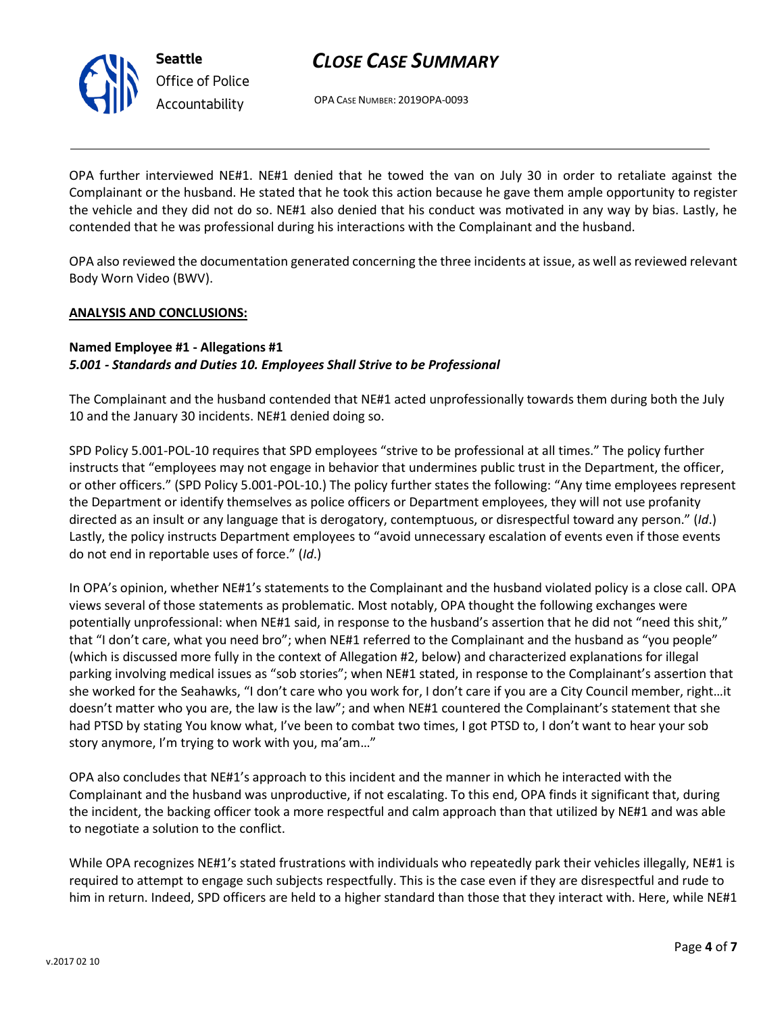

OPA CASE NUMBER: 2019OPA-0093

OPA further interviewed NE#1. NE#1 denied that he towed the van on July 30 in order to retaliate against the Complainant or the husband. He stated that he took this action because he gave them ample opportunity to register the vehicle and they did not do so. NE#1 also denied that his conduct was motivated in any way by bias. Lastly, he contended that he was professional during his interactions with the Complainant and the husband.

OPA also reviewed the documentation generated concerning the three incidents at issue, as well as reviewed relevant Body Worn Video (BWV).

### **ANALYSIS AND CONCLUSIONS:**

### **Named Employee #1 - Allegations #1** *5.001 - Standards and Duties 10. Employees Shall Strive to be Professional*

The Complainant and the husband contended that NE#1 acted unprofessionally towards them during both the July 10 and the January 30 incidents. NE#1 denied doing so.

SPD Policy 5.001-POL-10 requires that SPD employees "strive to be professional at all times." The policy further instructs that "employees may not engage in behavior that undermines public trust in the Department, the officer, or other officers." (SPD Policy 5.001-POL-10.) The policy further states the following: "Any time employees represent the Department or identify themselves as police officers or Department employees, they will not use profanity directed as an insult or any language that is derogatory, contemptuous, or disrespectful toward any person." (*Id*.) Lastly, the policy instructs Department employees to "avoid unnecessary escalation of events even if those events do not end in reportable uses of force." (*Id*.)

In OPA's opinion, whether NE#1's statements to the Complainant and the husband violated policy is a close call. OPA views several of those statements as problematic. Most notably, OPA thought the following exchanges were potentially unprofessional: when NE#1 said, in response to the husband's assertion that he did not "need this shit," that "I don't care, what you need bro"; when NE#1 referred to the Complainant and the husband as "you people" (which is discussed more fully in the context of Allegation #2, below) and characterized explanations for illegal parking involving medical issues as "sob stories"; when NE#1 stated, in response to the Complainant's assertion that she worked for the Seahawks, "I don't care who you work for, I don't care if you are a City Council member, right…it doesn't matter who you are, the law is the law"; and when NE#1 countered the Complainant's statement that she had PTSD by stating You know what, I've been to combat two times, I got PTSD to, I don't want to hear your sob story anymore, I'm trying to work with you, ma'am…"

OPA also concludes that NE#1's approach to this incident and the manner in which he interacted with the Complainant and the husband was unproductive, if not escalating. To this end, OPA finds it significant that, during the incident, the backing officer took a more respectful and calm approach than that utilized by NE#1 and was able to negotiate a solution to the conflict.

While OPA recognizes NE#1's stated frustrations with individuals who repeatedly park their vehicles illegally, NE#1 is required to attempt to engage such subjects respectfully. This is the case even if they are disrespectful and rude to him in return. Indeed, SPD officers are held to a higher standard than those that they interact with. Here, while NE#1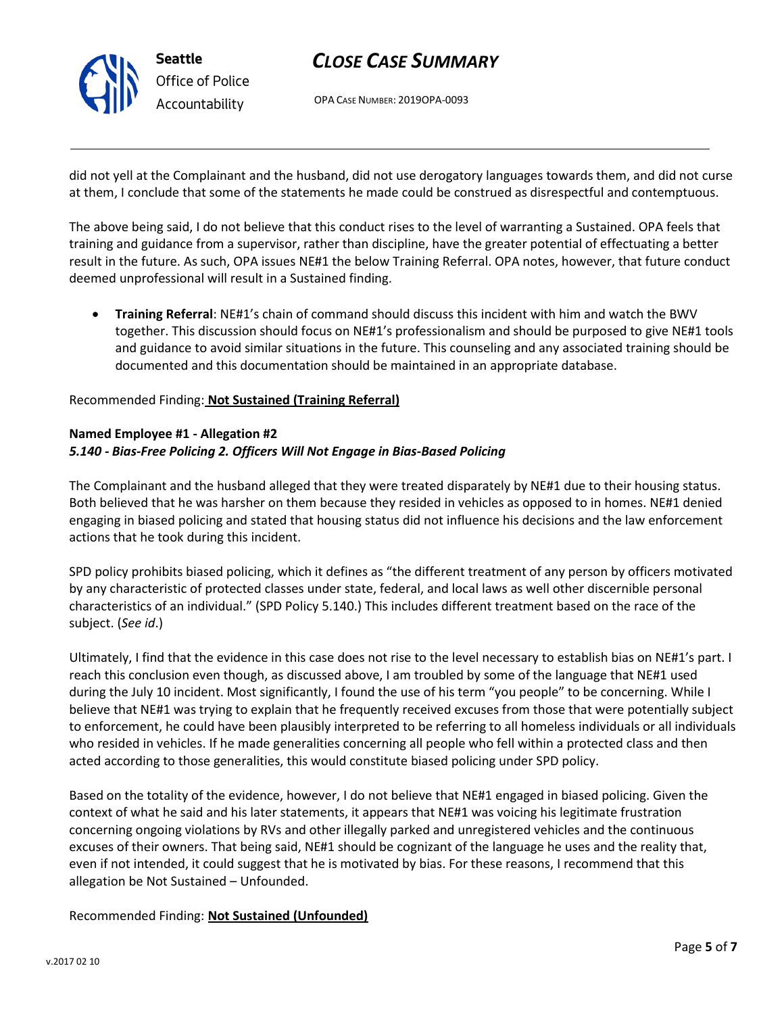

OPA CASE NUMBER: 2019OPA-0093

did not yell at the Complainant and the husband, did not use derogatory languages towards them, and did not curse at them, I conclude that some of the statements he made could be construed as disrespectful and contemptuous.

The above being said, I do not believe that this conduct rises to the level of warranting a Sustained. OPA feels that training and guidance from a supervisor, rather than discipline, have the greater potential of effectuating a better result in the future. As such, OPA issues NE#1 the below Training Referral. OPA notes, however, that future conduct deemed unprofessional will result in a Sustained finding.

• **Training Referral**: NE#1's chain of command should discuss this incident with him and watch the BWV together. This discussion should focus on NE#1's professionalism and should be purposed to give NE#1 tools and guidance to avoid similar situations in the future. This counseling and any associated training should be documented and this documentation should be maintained in an appropriate database.

### Recommended Finding: **Not Sustained (Training Referral)**

#### **Named Employee #1 - Allegation #2** *5.140 - Bias-Free Policing 2. Officers Will Not Engage in Bias-Based Policing*

The Complainant and the husband alleged that they were treated disparately by NE#1 due to their housing status. Both believed that he was harsher on them because they resided in vehicles as opposed to in homes. NE#1 denied engaging in biased policing and stated that housing status did not influence his decisions and the law enforcement actions that he took during this incident.

SPD policy prohibits biased policing, which it defines as "the different treatment of any person by officers motivated by any characteristic of protected classes under state, federal, and local laws as well other discernible personal characteristics of an individual." (SPD Policy 5.140.) This includes different treatment based on the race of the subject. (*See id*.)

Ultimately, I find that the evidence in this case does not rise to the level necessary to establish bias on NE#1's part. I reach this conclusion even though, as discussed above, I am troubled by some of the language that NE#1 used during the July 10 incident. Most significantly, I found the use of his term "you people" to be concerning. While I believe that NE#1 was trying to explain that he frequently received excuses from those that were potentially subject to enforcement, he could have been plausibly interpreted to be referring to all homeless individuals or all individuals who resided in vehicles. If he made generalities concerning all people who fell within a protected class and then acted according to those generalities, this would constitute biased policing under SPD policy.

Based on the totality of the evidence, however, I do not believe that NE#1 engaged in biased policing. Given the context of what he said and his later statements, it appears that NE#1 was voicing his legitimate frustration concerning ongoing violations by RVs and other illegally parked and unregistered vehicles and the continuous excuses of their owners. That being said, NE#1 should be cognizant of the language he uses and the reality that, even if not intended, it could suggest that he is motivated by bias. For these reasons, I recommend that this allegation be Not Sustained – Unfounded.

Recommended Finding: **Not Sustained (Unfounded)**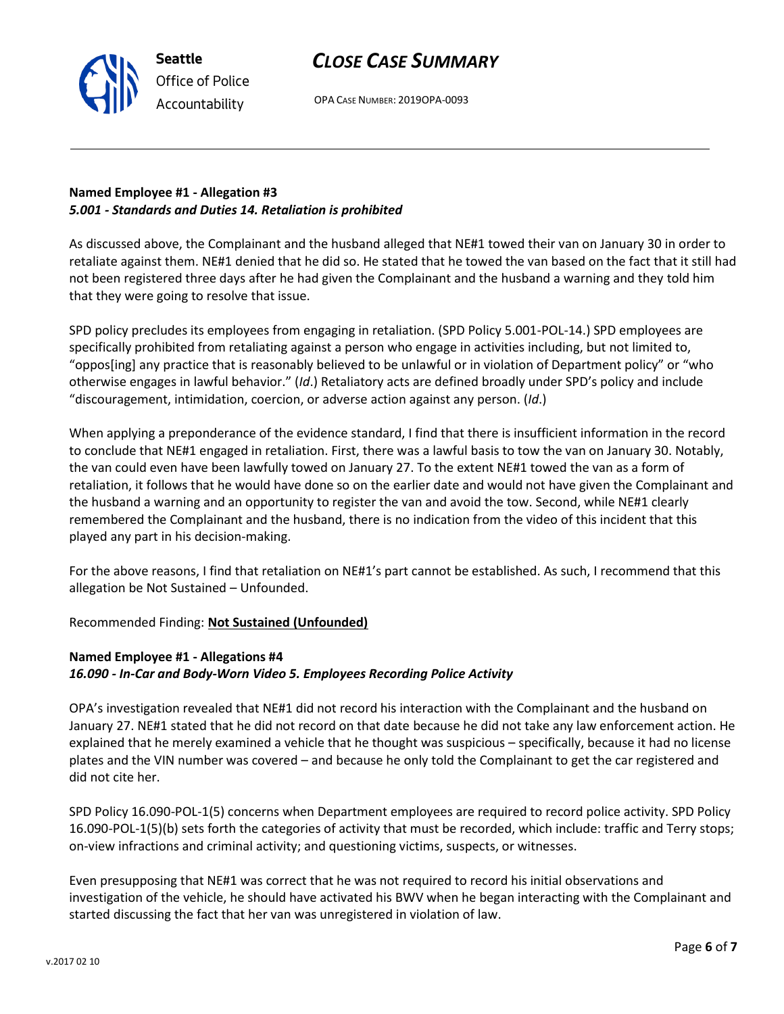

**Seattle**

OPA CASE NUMBER: 2019OPA-0093

### **Named Employee #1 - Allegation #3** *5.001 - Standards and Duties 14. Retaliation is prohibited*

As discussed above, the Complainant and the husband alleged that NE#1 towed their van on January 30 in order to retaliate against them. NE#1 denied that he did so. He stated that he towed the van based on the fact that it still had not been registered three days after he had given the Complainant and the husband a warning and they told him that they were going to resolve that issue.

SPD policy precludes its employees from engaging in retaliation. (SPD Policy 5.001-POL-14.) SPD employees are specifically prohibited from retaliating against a person who engage in activities including, but not limited to, "oppos[ing] any practice that is reasonably believed to be unlawful or in violation of Department policy" or "who otherwise engages in lawful behavior." (*Id*.) Retaliatory acts are defined broadly under SPD's policy and include "discouragement, intimidation, coercion, or adverse action against any person. (*Id*.)

When applying a preponderance of the evidence standard, I find that there is insufficient information in the record to conclude that NE#1 engaged in retaliation. First, there was a lawful basis to tow the van on January 30. Notably, the van could even have been lawfully towed on January 27. To the extent NE#1 towed the van as a form of retaliation, it follows that he would have done so on the earlier date and would not have given the Complainant and the husband a warning and an opportunity to register the van and avoid the tow. Second, while NE#1 clearly remembered the Complainant and the husband, there is no indication from the video of this incident that this played any part in his decision-making.

For the above reasons, I find that retaliation on NE#1's part cannot be established. As such, I recommend that this allegation be Not Sustained – Unfounded.

Recommended Finding: **Not Sustained (Unfounded)**

## **Named Employee #1 - Allegations #4** *16.090 - In-Car and Body-Worn Video 5. Employees Recording Police Activity*

OPA's investigation revealed that NE#1 did not record his interaction with the Complainant and the husband on January 27. NE#1 stated that he did not record on that date because he did not take any law enforcement action. He explained that he merely examined a vehicle that he thought was suspicious – specifically, because it had no license plates and the VIN number was covered – and because he only told the Complainant to get the car registered and did not cite her.

SPD Policy 16.090-POL-1(5) concerns when Department employees are required to record police activity. SPD Policy 16.090-POL-1(5)(b) sets forth the categories of activity that must be recorded, which include: traffic and Terry stops; on-view infractions and criminal activity; and questioning victims, suspects, or witnesses.

Even presupposing that NE#1 was correct that he was not required to record his initial observations and investigation of the vehicle, he should have activated his BWV when he began interacting with the Complainant and started discussing the fact that her van was unregistered in violation of law.